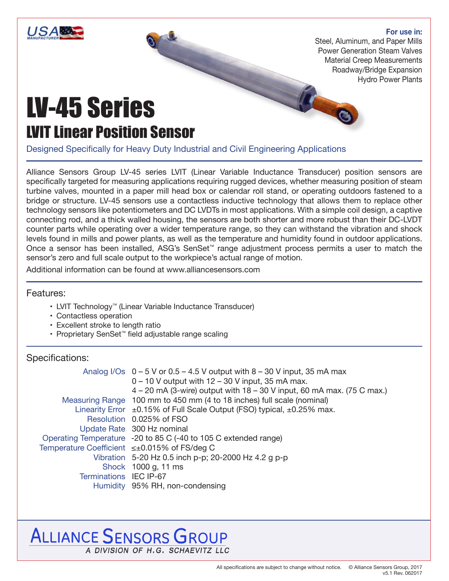

Steel, Aluminum, and Paper Mills Power Generation Steam Valves Material Creep Measurements Roadway/Bridge Expansion Hydro Power Plants600

# LV-45 Series LVIT Linear Position Sensor

Designed Specifically for Heavy Duty Industrial and Civil Engineering Applications

Alliance Sensors Group LV-45 series LVIT (Linear Variable Inductance Transducer) position sensors are specifically targeted for measuring applications requiring rugged devices, whether measuring position of steam turbine valves, mounted in a paper mill head box or calendar roll stand, or operating outdoors fastened to a bridge or structure. LV-45 sensors use a contactless inductive technology that allows them to replace other technology sensors like potentiometers and DC LVDTs in most applications. With a simple coil design, a captive connecting rod, and a thick walled housing, the sensors are both shorter and more robust than their DC-LVDT counter parts while operating over a wider temperature range, so they can withstand the vibration and shock levels found in mills and power plants, as well as the temperature and humidity found in outdoor applications. Once a sensor has been installed, ASG's SenSet™ range adjustment process permits a user to match the sensor's zero and full scale output to the workpiece's actual range of motion.

Additional information can be found at www.alliancesensors.com

Features:

**USA®** 

- LVIT Technology™ (Linear Variable Inductance Transducer)
- Contactless operation
- Excellent stroke to length ratio
- Proprietary SenSet™ field adjustable range scaling

### Specifications:

|                                              | Analog I/Os $0 - 5$ V or $0.5 - 4.5$ V output with $8 - 30$ V input, 35 mA max<br>$0 - 10$ V output with $12 - 30$ V input, 35 mA max. |
|----------------------------------------------|----------------------------------------------------------------------------------------------------------------------------------------|
|                                              | $4 - 20$ mA (3-wire) output with $18 - 30$ V input, 60 mA max. (75 C max.)                                                             |
|                                              | Measuring Range 100 mm to 450 mm (4 to 18 inches) full scale (nominal)                                                                 |
|                                              | Linearity Error $\pm 0.15\%$ of Full Scale Output (FSO) typical, $\pm 0.25\%$ max.                                                     |
|                                              | Resolution 0.025% of FSO                                                                                                               |
|                                              | Update Rate 300 Hz nominal                                                                                                             |
|                                              | Operating Temperature -20 to 85 C (-40 to 105 C extended range)                                                                        |
| Temperature Coefficient ≤±0.015% of FS/deg C |                                                                                                                                        |
|                                              | Vibration 5-20 Hz 0.5 inch p-p; 20-2000 Hz 4.2 g p-p                                                                                   |
|                                              | Shock 1000 g, 11 ms                                                                                                                    |
| Terminations IEC IP-67                       |                                                                                                                                        |
|                                              | Humidity 95% RH, non-condensing                                                                                                        |

# **ALLIANCE SENSORS GROUP** A DIVISION OF H.G. SCHAEVITZ LLC